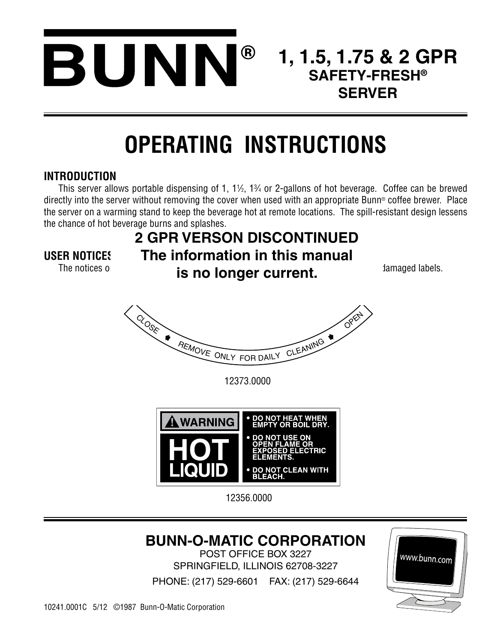

# **1, 1.5, 1.75 & 2 GPR SAFETY-FRESH® SERVER**

# **OPERATING INSTRUCTIONS**

### **INTRODUCTION**

**USER NOTICES**

This server allows portable dispensing of 1, 1½, 1¾ or 2-gallons of hot beverage. Coffee can be brewed directly into the server without removing the cover when used with an appropriate Bunn® coffee brewer. Place the server on a warming stand to keep the beverage hot at remote locations. The spill-resistant design lessens the chance of hot beverage burns and splashes.

## The notices on the conditional **is no longer current.** The notices of all abels. **2 GPR VERSON DISCONTINUED The information in this manual**



12373.0000



12356.0000

# **BUNN-O-MATIC CORPORATION**

POST OFFICE BOX 3227 SPRINGFIELD, ILLINOIS 62708-3227

PHONE: (217) 529-6601 FAX: (217) 529-6644

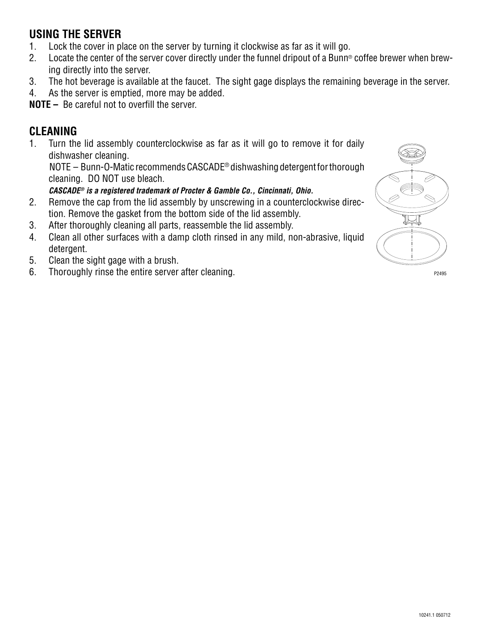## **USING THE SERVER**

- 1. Lock the cover in place on the server by turning it clockwise as far as it will go.
- 2. Locate the center of the server cover directly under the funnel dripout of a Bunn® coffee brewer when brewing directly into the server.
- 3. The hot beverage is available at the faucet. The sight gage displays the remaining beverage in the server.
- 4. As the server is emptied, more may be added.

**NOTE –** Be careful not to overfill the server.

## **CLEANING**

1. Turn the lid assembly counterclockwise as far as it will go to remove it for daily dishwasher cleaning.

NOTE – Bunn-O-Matic recommends CASCADE® dishwashing detergent for thorough cleaning. DO NOT use bleach.

#### *CASCADE® is a registered trademark of Procter & Gamble Co., Cincinnati, Ohio.*

- 2. Remove the cap from the lid assembly by unscrewing in a counterclockwise direction. Remove the gasket from the bottom side of the lid assembly.
- 3. After thoroughly cleaning all parts, reassemble the lid assembly.
- 4. Clean all other surfaces with a damp cloth rinsed in any mild, non-abrasive, liquid detergent.
- 5. Clean the sight gage with a brush.
- 6. Thoroughly rinse the entire server after cleaning.  $P_{2495}$